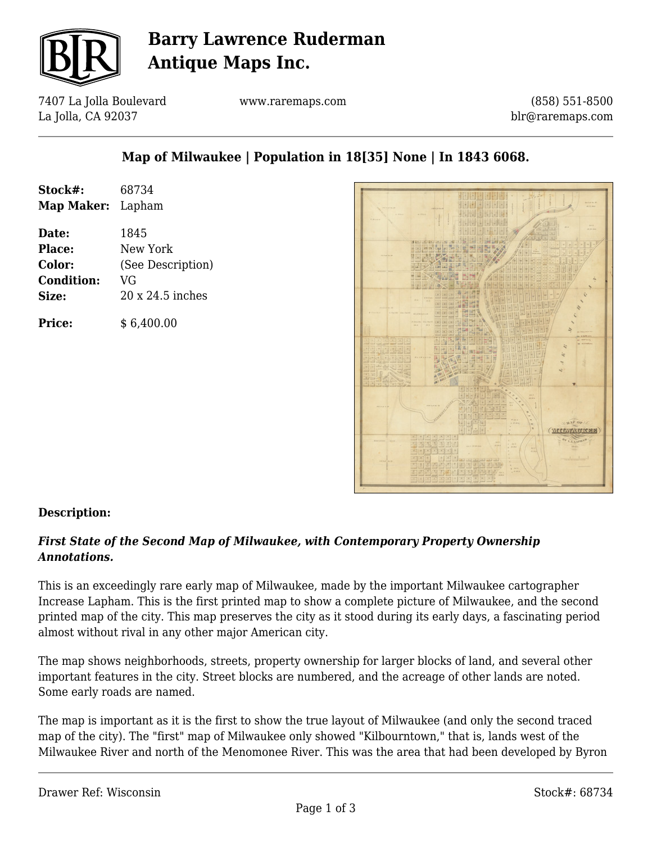

# **Barry Lawrence Ruderman Antique Maps Inc.**

7407 La Jolla Boulevard La Jolla, CA 92037

www.raremaps.com

(858) 551-8500 blr@raremaps.com

## **Map of Milwaukee | Population in 18[35] None | In 1843 6068.**

| Stock#:                  | 68734             |
|--------------------------|-------------------|
| <b>Map Maker:</b> Lapham |                   |
| Date:                    | 1845              |
| <b>Place:</b>            | New York          |
| Color:                   | (See Description) |
| <b>Condition:</b>        | VG                |
| Size:                    | 20 x 24.5 inches  |
| <b>Price:</b>            | \$6,400.00        |



### **Description:**

### *First State of the Second Map of Milwaukee, with Contemporary Property Ownership Annotations.*

This is an exceedingly rare early map of Milwaukee, made by the important Milwaukee cartographer Increase Lapham. This is the first printed map to show a complete picture of Milwaukee, and the second printed map of the city. This map preserves the city as it stood during its early days, a fascinating period almost without rival in any other major American city.

The map shows neighborhoods, streets, property ownership for larger blocks of land, and several other important features in the city. Street blocks are numbered, and the acreage of other lands are noted. Some early roads are named.

The map is important as it is the first to show the true layout of Milwaukee (and only the second traced map of the city). The "first" map of Milwaukee only showed "Kilbourntown," that is, lands west of the Milwaukee River and north of the Menomonee River. This was the area that had been developed by Byron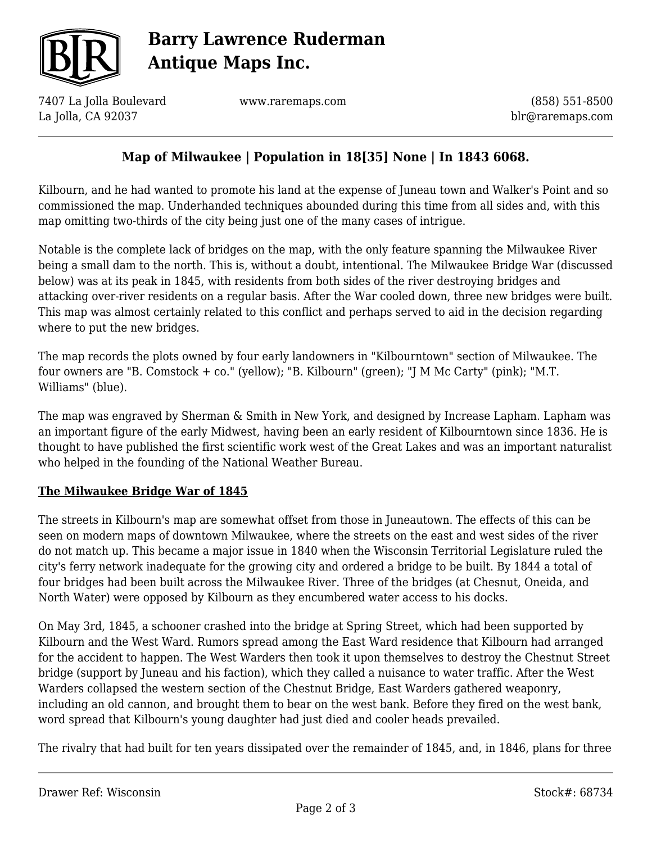

# **Barry Lawrence Ruderman Antique Maps Inc.**

7407 La Jolla Boulevard La Jolla, CA 92037

www.raremaps.com

(858) 551-8500 blr@raremaps.com

## **Map of Milwaukee | Population in 18[35] None | In 1843 6068.**

Kilbourn, and he had wanted to promote his land at the expense of Juneau town and Walker's Point and so commissioned the map. Underhanded techniques abounded during this time from all sides and, with this map omitting two-thirds of the city being just one of the many cases of intrigue.

Notable is the complete lack of bridges on the map, with the only feature spanning the Milwaukee River being a small dam to the north. This is, without a doubt, intentional. The Milwaukee Bridge War (discussed below) was at its peak in 1845, with residents from both sides of the river destroying bridges and attacking over-river residents on a regular basis. After the War cooled down, three new bridges were built. This map was almost certainly related to this conflict and perhaps served to aid in the decision regarding where to put the new bridges.

The map records the plots owned by four early landowners in "Kilbourntown" section of Milwaukee. The four owners are "B. Comstock + co." (yellow); "B. Kilbourn" (green); "J M Mc Carty" (pink); "M.T. Williams" (blue).

The map was engraved by Sherman & Smith in New York, and designed by Increase Lapham. Lapham was an important figure of the early Midwest, having been an early resident of Kilbourntown since 1836. He is thought to have published the first scientific work west of the Great Lakes and was an important naturalist who helped in the founding of the National Weather Bureau.

### **The Milwaukee Bridge War of 1845**

The streets in Kilbourn's map are somewhat offset from those in Juneautown. The effects of this can be seen on modern maps of downtown Milwaukee, where the streets on the east and west sides of the river do not match up. This became a major issue in 1840 when the Wisconsin Territorial Legislature ruled the city's ferry network inadequate for the growing city and ordered a bridge to be built. By 1844 a total of four bridges had been built across the Milwaukee River. Three of the bridges (at Chesnut, Oneida, and North Water) were opposed by Kilbourn as they encumbered water access to his docks.

On May 3rd, 1845, a schooner crashed into the bridge at Spring Street, which had been supported by Kilbourn and the West Ward. Rumors spread among the East Ward residence that Kilbourn had arranged for the accident to happen. The West Warders then took it upon themselves to destroy the Chestnut Street bridge (support by Juneau and his faction), which they called a nuisance to water traffic. After the West Warders collapsed the western section of the Chestnut Bridge, East Warders gathered weaponry, including an old cannon, and brought them to bear on the west bank. Before they fired on the west bank, word spread that Kilbourn's young daughter had just died and cooler heads prevailed.

The rivalry that had built for ten years dissipated over the remainder of 1845, and, in 1846, plans for three